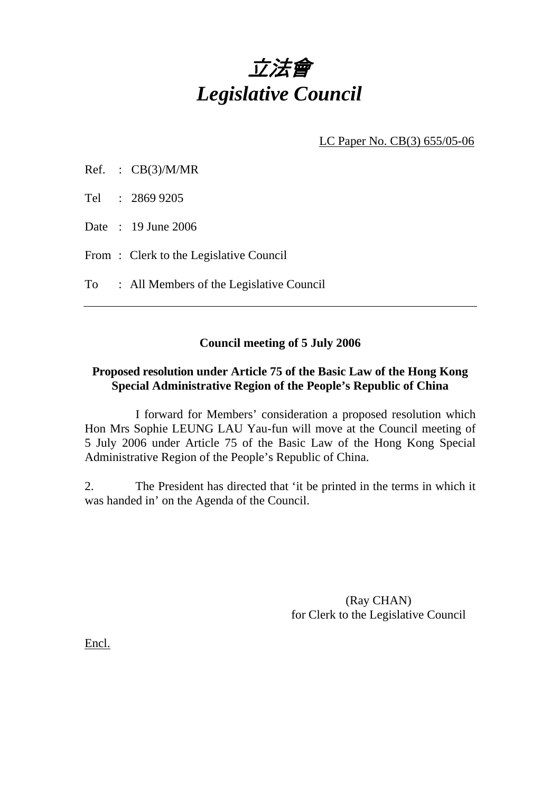

LC Paper No. CB(3) 655/05-06

- Ref. : CB(3)/M/MR
- Tel : 2869 9205
- Date : 19 June 2006
- From: Clerk to the Legislative Council

To : All Members of the Legislative Council

# **Council meeting of 5 July 2006**

## **Proposed resolution under Article 75 of the Basic Law of the Hong Kong Special Administrative Region of the People's Republic of China**

 I forward for Members' consideration a proposed resolution which Hon Mrs Sophie LEUNG LAU Yau-fun will move at the Council meeting of 5 July 2006 under Article 75 of the Basic Law of the Hong Kong Special Administrative Region of the People's Republic of China.

2. The President has directed that 'it be printed in the terms in which it was handed in' on the Agenda of the Council.

> (Ray CHAN) for Clerk to the Legislative Council

Encl.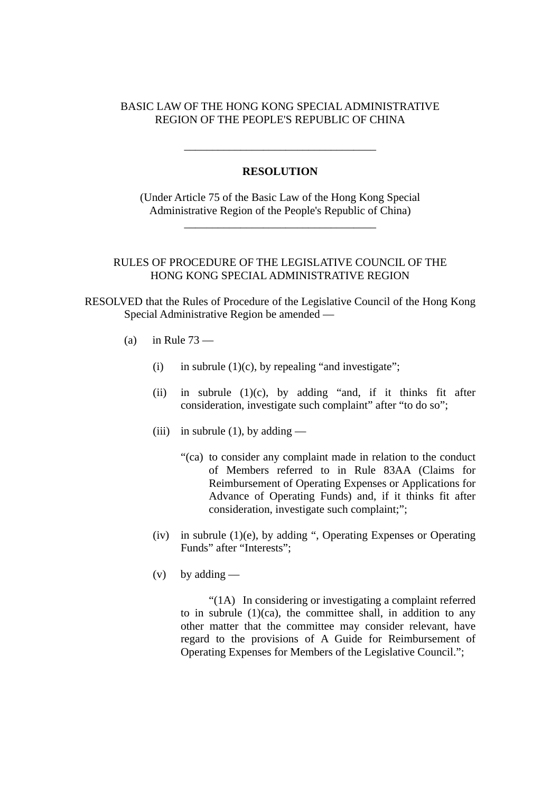## BASIC LAW OF THE HONG KONG SPECIAL ADMINISTRATIVE REGION OF THE PEOPLE'S REPUBLIC OF CHINA

#### **RESOLUTION**

\_\_\_\_\_\_\_\_\_\_\_\_\_\_\_\_\_\_\_\_\_\_\_\_\_\_\_\_\_\_\_\_\_\_

(Under Article 75 of the Basic Law of the Hong Kong Special Administrative Region of the People's Republic of China)

\_\_\_\_\_\_\_\_\_\_\_\_\_\_\_\_\_\_\_\_\_\_\_\_\_\_\_\_\_\_\_\_\_\_

### RULES OF PROCEDURE OF THE LEGISLATIVE COUNCIL OF THE HONG KONG SPECIAL ADMINISTRATIVE REGION

RESOLVED that the Rules of Procedure of the Legislative Council of the Hong Kong Special Administrative Region be amended —

- (a) in Rule  $73 -$ 
	- (i) in subrule  $(1)(c)$ , by repealing "and investigate";
	- (ii) in subrule  $(1)(c)$ , by adding "and, if it thinks fit after consideration, investigate such complaint" after "to do so";
	- (iii) in subrule (1), by adding
		- "(ca) to consider any complaint made in relation to the conduct of Members referred to in Rule 83AA (Claims for Reimbursement of Operating Expenses or Applications for Advance of Operating Funds) and, if it thinks fit after consideration, investigate such complaint;";
	- (iv) in subrule  $(1)(e)$ , by adding ", Operating Expenses or Operating Funds" after "Interests";
	- $(v)$  by adding —

"(1A) In considering or investigating a complaint referred to in subrule  $(1)(ca)$ , the committee shall, in addition to any other matter that the committee may consider relevant, have regard to the provisions of A Guide for Reimbursement of Operating Expenses for Members of the Legislative Council.";